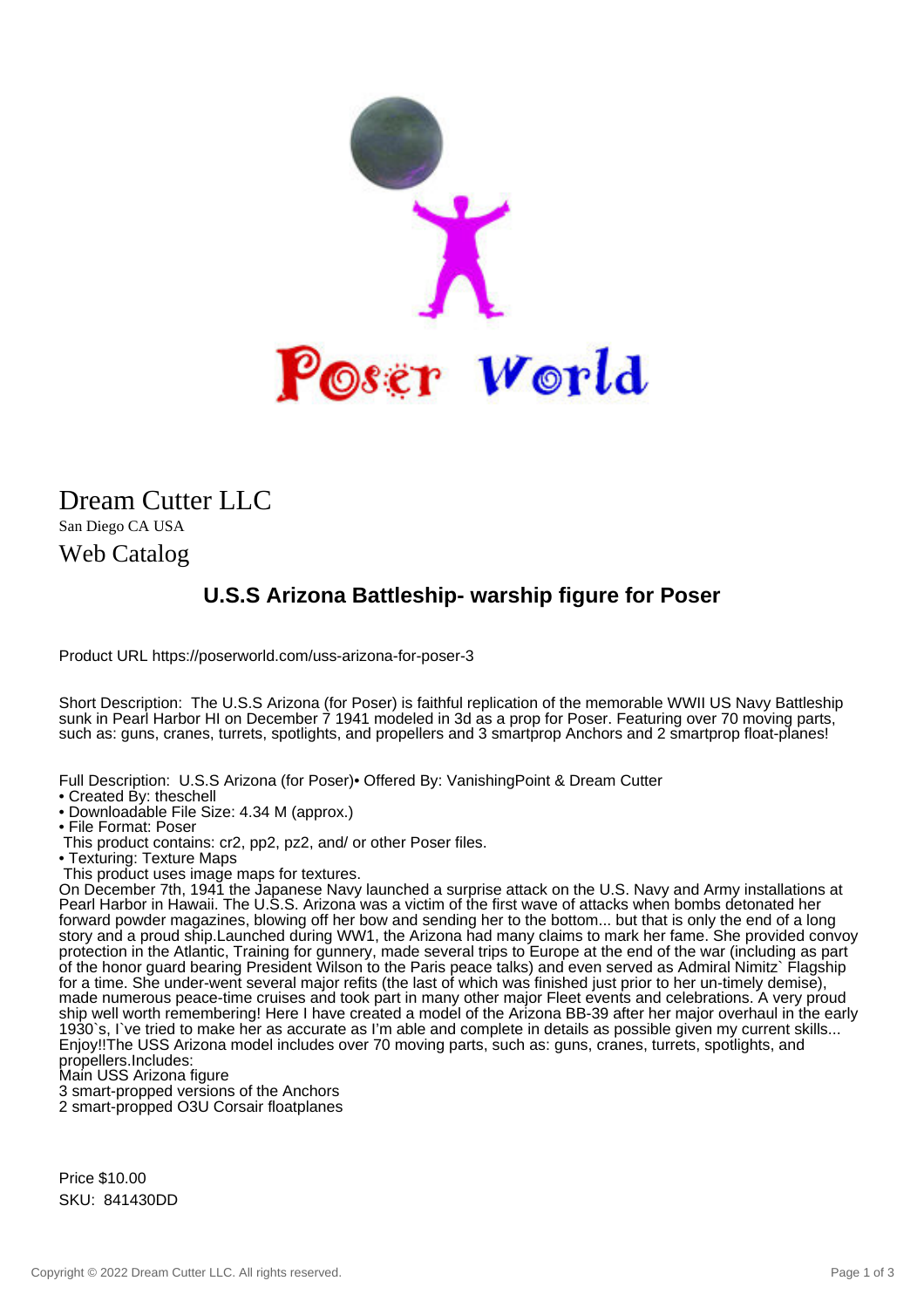

## Dream Cutter LLC

San Diego CA USA

Web Catalog

## **U.S.S Arizona Battleship- warship figure for Poser**

Product URL https://poserworld.com/uss-arizona-for-poser-3

Short Description: The U.S.S Arizona (for Poser) is faithful replication of the memorable WWII US Navy Battleship sunk in Pearl Harbor HI on December 7 1941 modeled in 3d as a prop for Poser. Featuring over 70 moving parts, such as: guns, cranes, turrets, spotlights, and propellers and 3 smartprop Anchors and 2 smartprop float-planes!

Full Description: U.S.S Arizona (for Poser)• Offered By: VanishingPoint & Dream Cutter

- Created By: theschell
- Downloadable File Size: 4.34 M (approx.)
- File Format: Poser
- This product contains: cr2, pp2, pz2, and/ or other Poser files.
- Texturing: Texture Maps
- This product uses image maps for textures.

On December 7th, 1941 the Japanese Navy launched a surprise attack on the U.S. Navy and Army installations at Pearl Harbor in Hawaii. The U.S.S. Arizona was a victim of the first wave of attacks when bombs detonated her forward powder magazines, blowing off her bow and sending her to the bottom... but that is only the end of a long story and a proud ship.Launched during WW1, the Arizona had many claims to mark her fame. She provided convoy protection in the Atlantic, Training for gunnery, made several trips to Europe at the end of the war (including as part of the honor guard bearing President Wilson to the Paris peace talks) and even served as Admiral Nimitz` Flagship for a time. She under-went several major refits (the last of which was finished just prior to her un-timely demise), made numerous peace-time cruises and took part in many other major Fleet events and celebrations. A very proud ship well worth remembering! Here I have created a model of the Arizona BB-39 after her major overhaul in the early 1930`s, I`ve tried to make her as accurate as I'm able and complete in details as possible given my current skills... Enjoy!!The USS Arizona model includes over 70 moving parts, such as: guns, cranes, turrets, spotlights, and propellers.Includes:

Main USS Arizona figure

3 smart-propped versions of the Anchors

2 smart-propped O3U Corsair floatplanes

Price \$10.00 SKU: 841430DD